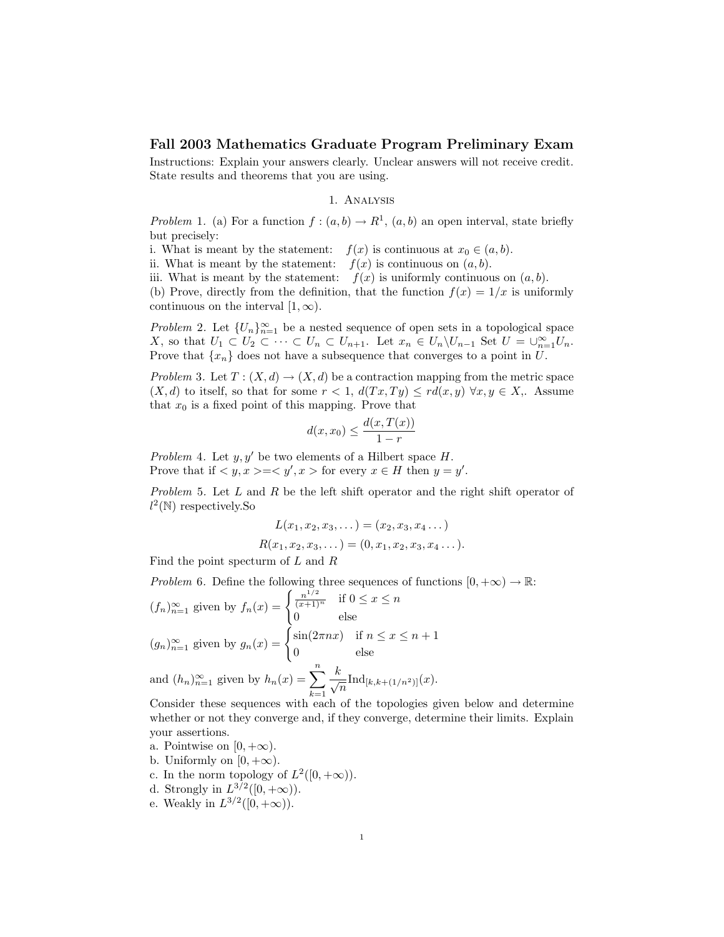## Fall 2003 Mathematics Graduate Program Preliminary Exam

Instructions: Explain your answers clearly. Unclear answers will not receive credit. State results and theorems that you are using.

## 1. Analysis

Problem 1. (a) For a function  $f:(a,b)\to\mathbb{R}^1$ ,  $(a,b)$  an open interval, state briefly but precisely:

- i. What is meant by the statement:  $f(x)$  is continuous at  $x_0 \in (a, b)$ .
- ii. What is meant by the statement:  $f(x)$  is continuous on  $(a, b)$ .
- iii. What is meant by the statement:  $f(x)$  is uniformly continuous on  $(a, b)$ .

(b) Prove, directly from the definition, that the function  $f(x) = 1/x$  is uniformly continuous on the interval  $[1,\infty)$ .

*Problem* 2. Let  $\{U_n\}_{n=1}^{\infty}$  be a nested sequence of open sets in a topological space X, so that  $U_1 \subset U_2 \subset \cdots \subset U_n \subset U_{n+1}$ . Let  $x_n \in U_n \backslash U_{n-1}$  Set  $U = \bigcup_{n=1}^{\infty} U_n$ . Prove that  $\{x_n\}$  does not have a subsequence that converges to a point in U.

Problem 3. Let  $T : (X, d) \to (X, d)$  be a contraction mapping from the metric space  $(X, d)$  to itself, so that for some  $r < 1$ ,  $d(Tx, Ty) \leq rd(x, y) \,\forall x, y \in X$ ,. Assume that  $x_0$  is a fixed point of this mapping. Prove that

$$
d(x, x_0) \le \frac{d(x, T(x))}{1 - r}
$$

Problem 4. Let  $y, y'$  be two elements of a Hilbert space H. Prove that if  $\langle y, x \rangle = \langle y', x \rangle$  for every  $x \in H$  then  $y = y'$ .

Problem 5. Let L and R be the left shift operator and the right shift operator of  $l^2(\mathbb{N})$  respectively. So

$$
L(x_1, x_2, x_3, \dots) = (x_2, x_3, x_4 \dots)
$$
  

$$
R(x_1, x_2, x_3, \dots) = (0, x_1, x_2, x_3, x_4 \dots).
$$

Find the point specturm of L and R

Problem 6. Define the following three sequences of functions  $[0, +\infty) \to \mathbb{R}$ :  $(f_n)_{n=1}^{\infty}$  given by  $f_n(x) = \begin{cases} \frac{n^{1/2}}{(x+1)^n} & \text{if } 0 \leq x \leq n \\ 0 & \text{otherwise} \end{cases}$ 

$$
(g_n)_{n=1}^{\infty} \text{ given by } g_n(x) = \begin{cases} 0 & \text{else} \\ \sin(2\pi nx) & \text{if } n \le x \le n+1 \\ 0 & \text{else} \end{cases}
$$

and  $(h_n)_{n=1}^{\infty}$  given by  $h_n(x) = \sum_{n=1}^{\infty}$  $k=1$  $\frac{k}{\sqrt{n}} \text{Ind}_{[k,k+(1/n^2)]}(x).$ 

Consider these sequences with each of the topologies given below and determine whether or not they converge and, if they converge, determine their limits. Explain your assertions.

- a. Pointwise on  $[0, +\infty)$ .
- b. Uniformly on  $[0, +\infty)$ .
- c. In the norm topology of  $L^2([0, +\infty))$ .
- d. Strongly in  $L^{3/2}([0, +\infty))$ .
- e. Weakly in  $L^{3/2}([0, +\infty))$ .